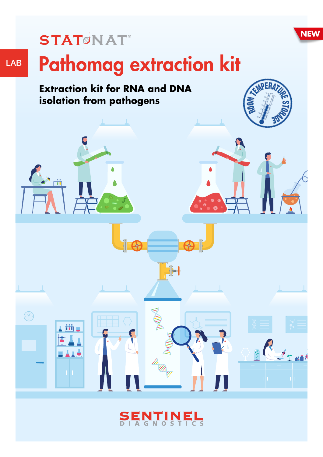

## **STATØNAT**®

 $\bigodot$ 

r y fith

# Pathomag extraction kit

### **Extraction kit for RNA and DNA isolation from pathogens**



 $\|\cdot\|$ 

 $1 - 1 - 1$